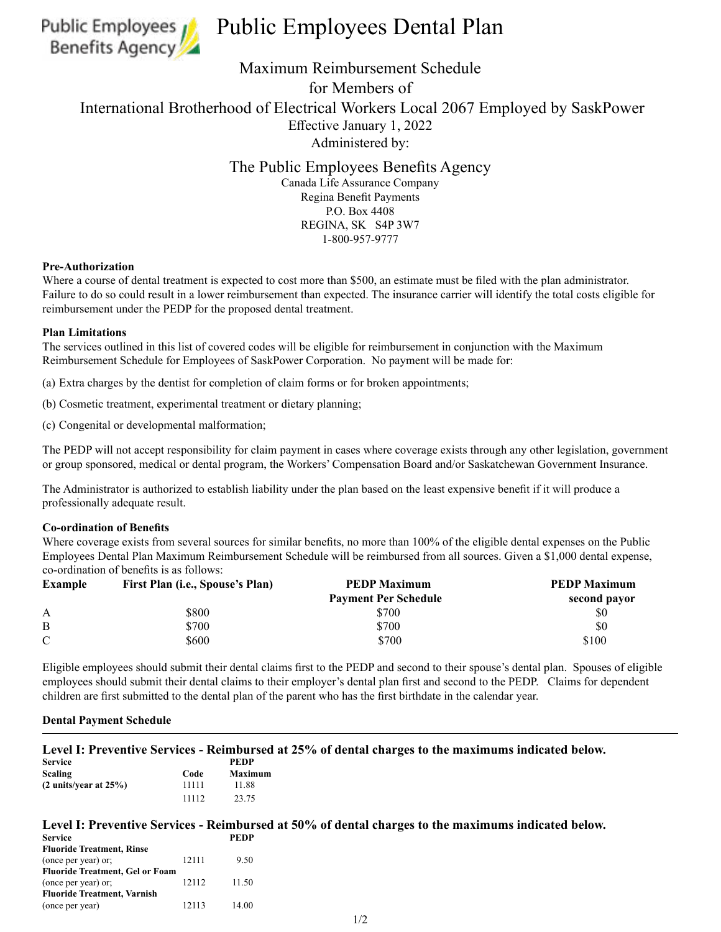

# Public Employees Dental Plan

## Maximum Reimbursement Schedule for Members of International Brotherhood of Electrical Workers Local 2067 Employed by SaskPower Effective January 1, 2022 Administered by:

The Public Employees Benefits Agency

Canada Life Assurance Company Regina Benefit Payments P.O. Box 4408 REGINA, SK S4P 3W7 1-800-957-9777

#### **Pre-Authorization**

Where a course of dental treatment is expected to cost more than \$500, an estimate must be filed with the plan administrator. Failure to do so could result in a lower reimbursement than expected. The insurance carrier will identify the total costs eligible for reimbursement under the PEDP for the proposed dental treatment.

#### **Plan Limitations**

The services outlined in this list of covered codes will be eligible for reimbursement in conjunction with the Maximum Reimbursement Schedule for Employees of SaskPower Corporation. No payment will be made for:

(a) Extra charges by the dentist for completion of claim forms or for broken appointments;

(b) Cosmetic treatment, experimental treatment or dietary planning;

(c) Congenital or developmental malformation;

The PEDP will not accept responsibility for claim payment in cases where coverage exists through any other legislation, government or group sponsored, medical or dental program, the Workers' Compensation Board and/or Saskatchewan Government Insurance.

The Administrator is authorized to establish liability under the plan based on the least expensive benefit if it will produce a professionally adequate result.

#### **Co-ordination of Benefits**

Where coverage exists from several sources for similar benefits, no more than 100% of the eligible dental expenses on the Public Employees Dental Plan Maximum Reimbursement Schedule will be reimbursed from all sources. Given a \$1,000 dental expense, co‑ordination of benefits is as follows:

| <b>Example</b> | First Plan (i.e., Spouse's Plan) | <b>PEDP Maximum</b>         | <b>PEDP Maximum</b> |
|----------------|----------------------------------|-----------------------------|---------------------|
|                |                                  | <b>Payment Per Schedule</b> | second payor        |
| A              | \$800                            | \$700                       | \$0                 |
| B              | \$700                            | \$700                       | \$0                 |
| $\mathcal{C}$  | \$600                            | \$700                       | \$100               |

Eligible employees should submit their dental claims first to the PEDP and second to their spouse's dental plan. Spouses of eligible employees should submit their dental claims to their employer's dental plan first and second to the PEDP. Claims for dependent children are first submitted to the dental plan of the parent who has the first birthdate in the calendar year.

#### **Dental Payment Schedule**

#### **Level I: Preventive Services - Reimbursed at 25% of dental charges to the maximums indicated below.**

| <b>Service</b>                    |       | <b>PEDP</b> |
|-----------------------------------|-------|-------------|
| <b>Scaling</b>                    | Code  | Maximum     |
| $(2 \text{ units/year at } 25\%)$ | 11111 | 11.88       |
|                                   | 11112 | 23.75       |

#### **Level I: Preventive Services - Reimbursed at 50% of dental charges to the maximums indicated below.**

| <b>Service</b>                         |       | <b>PEDP</b> |
|----------------------------------------|-------|-------------|
| <b>Fluoride Treatment, Rinse</b>       |       |             |
| (once per year) or;                    | 12111 | 9.50        |
| <b>Fluoride Treatment, Gel or Foam</b> |       |             |
| (once per year) or;                    | 12112 | 11.50       |
| <b>Fluoride Treatment, Varnish</b>     |       |             |
| (once per year)                        | 12113 | 14.00       |